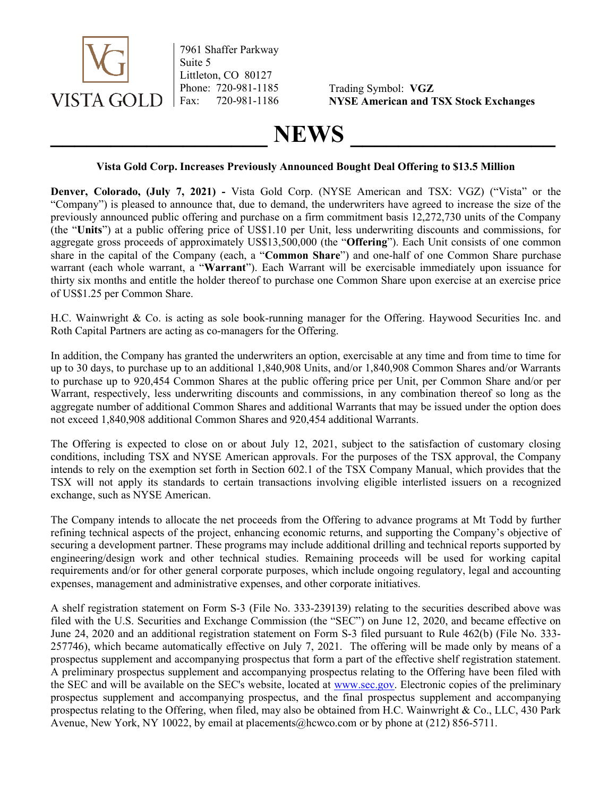

7961 Shaffer Parkway Suite 5 Littleton, CO 80127 Phone: 720-981-1185 Fax: 720-981-1186

Trading Symbol: VGZ NYSE American and TSX Stock Exchanges

## NEWS

## Vista Gold Corp. Increases Previously Announced Bought Deal Offering to \$13.5 Million

Denver, Colorado, (July 7, 2021) - Vista Gold Corp. (NYSE American and TSX: VGZ) ("Vista" or the "Company") is pleased to announce that, due to demand, the underwriters have agreed to increase the size of the previously announced public offering and purchase on a firm commitment basis 12,272,730 units of the Company (the "Units") at a public offering price of US\$1.10 per Unit, less underwriting discounts and commissions, for aggregate gross proceeds of approximately US\$13,500,000 (the "Offering"). Each Unit consists of one common share in the capital of the Company (each, a "Common Share") and one-half of one Common Share purchase warrant (each whole warrant, a "Warrant"). Each Warrant will be exercisable immediately upon issuance for thirty six months and entitle the holder thereof to purchase one Common Share upon exercise at an exercise price of US\$1.25 per Common Share.

H.C. Wainwright & Co. is acting as sole book-running manager for the Offering. Haywood Securities Inc. and Roth Capital Partners are acting as co-managers for the Offering.

In addition, the Company has granted the underwriters an option, exercisable at any time and from time to time for up to 30 days, to purchase up to an additional 1,840,908 Units, and/or 1,840,908 Common Shares and/or Warrants to purchase up to 920,454 Common Shares at the public offering price per Unit, per Common Share and/or per Warrant, respectively, less underwriting discounts and commissions, in any combination thereof so long as the aggregate number of additional Common Shares and additional Warrants that may be issued under the option does not exceed 1,840,908 additional Common Shares and 920,454 additional Warrants.

The Offering is expected to close on or about July 12, 2021, subject to the satisfaction of customary closing conditions, including TSX and NYSE American approvals. For the purposes of the TSX approval, the Company intends to rely on the exemption set forth in Section 602.1 of the TSX Company Manual, which provides that the TSX will not apply its standards to certain transactions involving eligible interlisted issuers on a recognized exchange, such as NYSE American.

The Company intends to allocate the net proceeds from the Offering to advance programs at Mt Todd by further refining technical aspects of the project, enhancing economic returns, and supporting the Company's objective of securing a development partner. These programs may include additional drilling and technical reports supported by engineering/design work and other technical studies. Remaining proceeds will be used for working capital requirements and/or for other general corporate purposes, which include ongoing regulatory, legal and accounting expenses, management and administrative expenses, and other corporate initiatives.

A shelf registration statement on Form S-3 (File No. 333-239139) relating to the securities described above was filed with the U.S. Securities and Exchange Commission (the "SEC") on June 12, 2020, and became effective on June 24, 2020 and an additional registration statement on Form S-3 filed pursuant to Rule 462(b) (File No. 333- 257746), which became automatically effective on July 7, 2021. The offering will be made only by means of a prospectus supplement and accompanying prospectus that form a part of the effective shelf registration statement. A preliminary prospectus supplement and accompanying prospectus relating to the Offering have been filed with the SEC and will be available on the SEC's website, located at www.sec.gov. Electronic copies of the preliminary prospectus supplement and accompanying prospectus, and the final prospectus supplement and accompanying prospectus relating to the Offering, when filed, may also be obtained from H.C. Wainwright & Co., LLC, 430 Park Avenue, New York, NY 10022, by email at placements@hcwco.com or by phone at (212) 856-5711.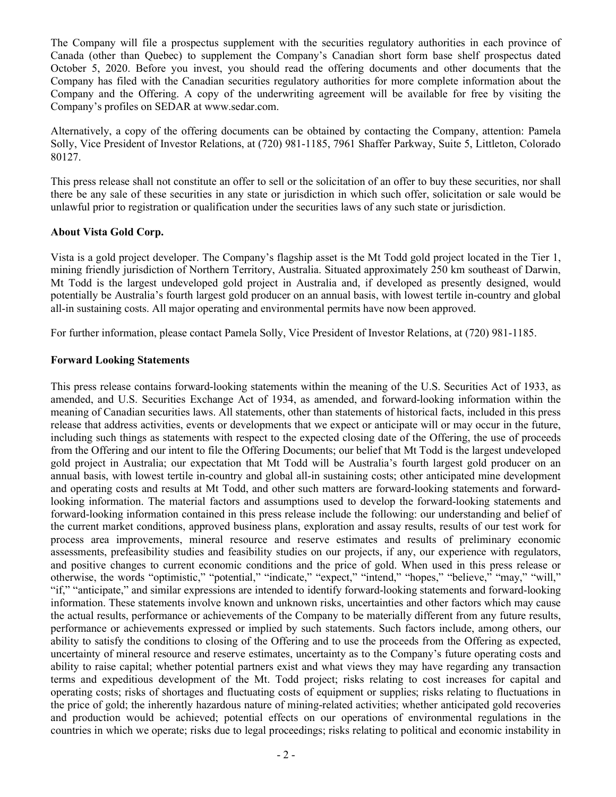The Company will file a prospectus supplement with the securities regulatory authorities in each province of Canada (other than Quebec) to supplement the Company's Canadian short form base shelf prospectus dated October 5, 2020. Before you invest, you should read the offering documents and other documents that the Company has filed with the Canadian securities regulatory authorities for more complete information about the Company and the Offering. A copy of the underwriting agreement will be available for free by visiting the Company's profiles on SEDAR at www.sedar.com.

Alternatively, a copy of the offering documents can be obtained by contacting the Company, attention: Pamela Solly, Vice President of Investor Relations, at (720) 981-1185, 7961 Shaffer Parkway, Suite 5, Littleton, Colorado 80127.

This press release shall not constitute an offer to sell or the solicitation of an offer to buy these securities, nor shall there be any sale of these securities in any state or jurisdiction in which such offer, solicitation or sale would be unlawful prior to registration or qualification under the securities laws of any such state or jurisdiction.

## About Vista Gold Corp.

Vista is a gold project developer. The Company's flagship asset is the Mt Todd gold project located in the Tier 1, mining friendly jurisdiction of Northern Territory, Australia. Situated approximately 250 km southeast of Darwin, Mt Todd is the largest undeveloped gold project in Australia and, if developed as presently designed, would potentially be Australia's fourth largest gold producer on an annual basis, with lowest tertile in-country and global all-in sustaining costs. All major operating and environmental permits have now been approved.

For further information, please contact Pamela Solly, Vice President of Investor Relations, at (720) 981-1185.

## Forward Looking Statements

This press release contains forward-looking statements within the meaning of the U.S. Securities Act of 1933, as amended, and U.S. Securities Exchange Act of 1934, as amended, and forward-looking information within the meaning of Canadian securities laws. All statements, other than statements of historical facts, included in this press release that address activities, events or developments that we expect or anticipate will or may occur in the future, including such things as statements with respect to the expected closing date of the Offering, the use of proceeds from the Offering and our intent to file the Offering Documents; our belief that Mt Todd is the largest undeveloped gold project in Australia; our expectation that Mt Todd will be Australia's fourth largest gold producer on an annual basis, with lowest tertile in-country and global all-in sustaining costs; other anticipated mine development and operating costs and results at Mt Todd, and other such matters are forward-looking statements and forwardlooking information. The material factors and assumptions used to develop the forward-looking statements and forward-looking information contained in this press release include the following: our understanding and belief of the current market conditions, approved business plans, exploration and assay results, results of our test work for process area improvements, mineral resource and reserve estimates and results of preliminary economic assessments, prefeasibility studies and feasibility studies on our projects, if any, our experience with regulators, and positive changes to current economic conditions and the price of gold. When used in this press release or otherwise, the words "optimistic," "potential," "indicate," "expect," "intend," "hopes," "believe," "may," "will," "if," "anticipate," and similar expressions are intended to identify forward-looking statements and forward-looking information. These statements involve known and unknown risks, uncertainties and other factors which may cause the actual results, performance or achievements of the Company to be materially different from any future results, performance or achievements expressed or implied by such statements. Such factors include, among others, our ability to satisfy the conditions to closing of the Offering and to use the proceeds from the Offering as expected, uncertainty of mineral resource and reserve estimates, uncertainty as to the Company's future operating costs and ability to raise capital; whether potential partners exist and what views they may have regarding any transaction terms and expeditious development of the Mt. Todd project; risks relating to cost increases for capital and operating costs; risks of shortages and fluctuating costs of equipment or supplies; risks relating to fluctuations in the price of gold; the inherently hazardous nature of mining-related activities; whether anticipated gold recoveries and production would be achieved; potential effects on our operations of environmental regulations in the countries in which we operate; risks due to legal proceedings; risks relating to political and economic instability in